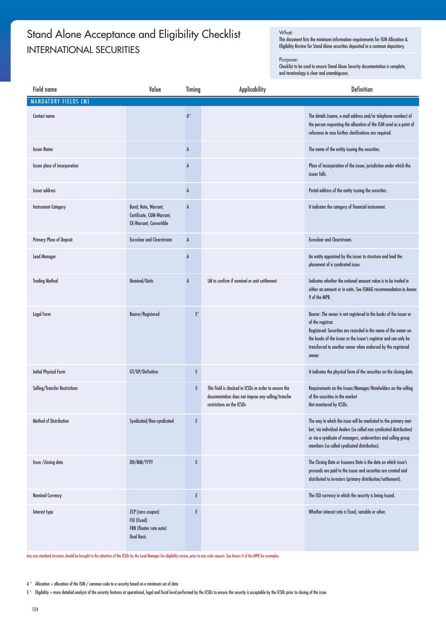# Stand Alone Acceptance and Eligibility Checklist INTERNATIONAL SECURITIES

#### What:

This document lists the minimum information requirements for ISIN Allocation & Eligibility Review for Stand Alone securities deposited in a common depository.

### Purpose:

Checklist to be used to ensure Stand Alone Security documentation is complete, and terminology is clear and unambiguous.

| Field name                      | Value                                                                               | Timing         | <b>Applicability</b>                                                                                                                     | Definition                                                                                                                                                                                                                                                                                               |
|---------------------------------|-------------------------------------------------------------------------------------|----------------|------------------------------------------------------------------------------------------------------------------------------------------|----------------------------------------------------------------------------------------------------------------------------------------------------------------------------------------------------------------------------------------------------------------------------------------------------------|
| <b>MANDATORY FIELDS (M)</b>     |                                                                                     |                |                                                                                                                                          |                                                                                                                                                                                                                                                                                                          |
| Contact name                    |                                                                                     | $A^*$          |                                                                                                                                          | The details (name, e-mail address and/or telephone number) of<br>the person requesting the allocation of the ISIN used as a point of<br>reference in case further clarifications are required.                                                                                                           |
| <b>Issuer Name</b>              |                                                                                     | $\mathsf{A}$   |                                                                                                                                          | The name of the entity issuing the securities.                                                                                                                                                                                                                                                           |
| Issuer place of incorporation   |                                                                                     | A              |                                                                                                                                          | Place of incorporation of the issuer, jurisdiction under which the<br>issuer falls.                                                                                                                                                                                                                      |
| <b>Issuer address</b>           |                                                                                     | A              |                                                                                                                                          | Postal address of the entity issuing the securities.                                                                                                                                                                                                                                                     |
| <b>Instrument Category</b>      | Bond, Note, Warrant,<br>Certificate, CUM-Warrant,<br><b>EX-Warrant, Convertible</b> | A              |                                                                                                                                          | It indicates the category of financial instrument.                                                                                                                                                                                                                                                       |
| <b>Primary Place of Deposit</b> | <b>Euroclear and Clearstream</b>                                                    | $\mathsf{A}$   |                                                                                                                                          | <b>Euroclear and Clearstream.</b>                                                                                                                                                                                                                                                                        |
| <b>Lead Manager</b>             |                                                                                     | A              |                                                                                                                                          | An entity appointed by the issuer to structure and lead the<br>placement of a syndicated issue.                                                                                                                                                                                                          |
| <b>Trading Method</b>           | Nominal/Units                                                                       | A              | LM to confirm if nominal or unit settlement                                                                                              | Indicates whether the notional amount value is to be traded in<br>either an amount or in units. See ISMAG recommendation in Annex<br>9 of the MPB.                                                                                                                                                       |
| <b>Legal Form</b>               | Bearer/Registered                                                                   | $\mathsf{F}^*$ |                                                                                                                                          | Bearer: The owner is not registered in the books of the issuer or<br>of the registrar.<br>Registered: Securities are recorded in the name of the owner on<br>the books of the issuer or the issuer's registrar and can only be<br>transferred to another owner when endorsed by the registered<br>owner. |
| <b>Initial Physical Form</b>    | GT/GP/Definitive                                                                    | E              |                                                                                                                                          | It indicates the physical form of the securities on the closing date.                                                                                                                                                                                                                                    |
| Selling/Transfer Restrictions   |                                                                                     | E              | This field is checked in ICSDs in order to ensure the<br>documentation does not impose any selling/transfer<br>restrictions on the ICSDs | Requirements on the Issuer/Manager/Noteholders on the selling<br>of the securities in the market<br>Not monitored by ICSDs.                                                                                                                                                                              |
| Method of Distribution          | Syndicated/Non-syndicated                                                           | E              |                                                                                                                                          | The way in which the issue will be marketed to the primary mar-<br>ket, via individual dealers (so called non syndicated distribution)<br>or via a syndicate of managers, underwriters and selling group<br>members (so called syndicated distribution).                                                 |
| Issue / closing date            | DD/MM/YYYY                                                                          | E              |                                                                                                                                          | The Closing Date or Issuance Date is the date on which issue's<br>proceeds are paid to the issuer and securities are created and<br>distributed to investors (primary distribution/settlement).                                                                                                          |
| <b>Nominal Currency</b>         |                                                                                     | E              |                                                                                                                                          | The ISO currency in which the security is being Issued.                                                                                                                                                                                                                                                  |
| Interest type                   | ZCP (zero coupon)<br>FIX (fixed)<br>FRN (floater rate note)<br><b>Dual Basis</b>    | E              |                                                                                                                                          | Whether interest rate is fixed, variable or other.                                                                                                                                                                                                                                                       |

Any non-standard structure should be brought to the attention of the ICSDs by the Lead Manager for eligibility review, prior to any code request. See Annex 4 of the MPB for examples.

 $\mathsf{A}^*$  Allocation = allocation of the ISIN / common code to a security based on a minimum set of data

E \* Eligibility = more detailed analysis of the security features at operational, legal and fiscal level performed by the ICSDs to ensure the security is acceptable by the ICSDs prior to closing of the issue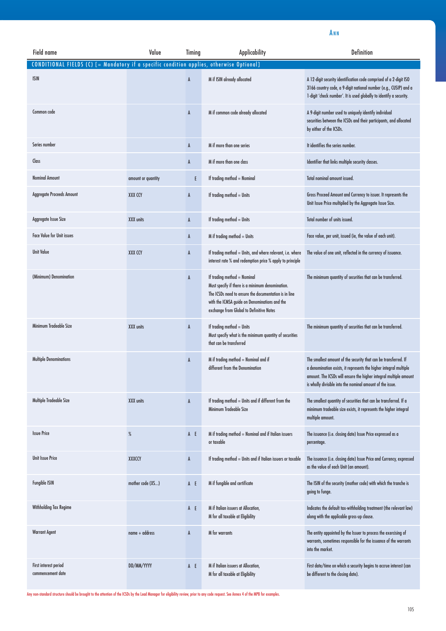## A N N

| Field name                                                                               | Value              | Timing                    | Applicability                                                                                                                                                                                                                         | Definition                                                                                                                                                                                                                                                             |
|------------------------------------------------------------------------------------------|--------------------|---------------------------|---------------------------------------------------------------------------------------------------------------------------------------------------------------------------------------------------------------------------------------|------------------------------------------------------------------------------------------------------------------------------------------------------------------------------------------------------------------------------------------------------------------------|
| CONDITIONAL FIELDS (C) [= Mandatory if a specific condition applies, otherwise Optional] |                    |                           |                                                                                                                                                                                                                                       |                                                                                                                                                                                                                                                                        |
| ISIN                                                                                     |                    | $\boldsymbol{\mathsf{A}}$ | M if ISIN already allocated                                                                                                                                                                                                           | A 12-digit security identification code comprised of a 2-digit ISO<br>3166 country code, a 9-digit national number (e.g., CUSIP) and a<br>1-digit 'check number'. It is used globally to identify a security.                                                          |
| Common code                                                                              |                    | $\mathtt{A}$              | M if common code already allocated                                                                                                                                                                                                    | A 9-digit number used to uniquely identify individual<br>securities between the ICSDs and their participants, and allocated<br>by either of the ICSDs.                                                                                                                 |
| Series number                                                                            |                    | $\mathtt{A}$              | M if more than one series                                                                                                                                                                                                             | It identifies the series number.                                                                                                                                                                                                                                       |
| Class                                                                                    |                    | A                         | M if more than one class                                                                                                                                                                                                              | Identifier that links multiple security classes.                                                                                                                                                                                                                       |
| <b>Nominal Amount</b>                                                                    | amount or quantity | E                         | If trading method = Nominal                                                                                                                                                                                                           | Total nominal amount issued.                                                                                                                                                                                                                                           |
| <b>Aggregate Proceeds Amount</b>                                                         | XXX CCY            | A                         | If trading method = Units                                                                                                                                                                                                             | Gross Proceed Amount and Currency to issuer. It represents the<br>Unit Issue Price multiplied by the Aggregate Issue Size.                                                                                                                                             |
| Aggregate Issue Size                                                                     | XXX units          | $\mathtt{A}$              | If trading method = Units                                                                                                                                                                                                             | Total number of units issued.                                                                                                                                                                                                                                          |
| <b>Face Value for Unit issues</b>                                                        |                    | A                         | M if trading method = Units                                                                                                                                                                                                           | Face value, per unit, issued (ie, the value of each unit).                                                                                                                                                                                                             |
| <b>Unit Value</b>                                                                        | XXX CCY            | A                         | If trading method = Units, and where relevant, i.e. where<br>interest rate % and redemption price % apply to principle                                                                                                                | The value of one unit, reflected in the currency of issuance.                                                                                                                                                                                                          |
| (Minimum) Denomination                                                                   |                    | A                         | If trading method = Nominal<br>Must specify if there is a minimum denomination.<br>The ICSDs need to ensure the documentation is in line<br>with the ICMSA guide on Denominations and the<br>exchange from Global to Definitive Notes | The minimum quantity of securities that can be transferred.                                                                                                                                                                                                            |
| Minimum Tradeable Size                                                                   | <b>XXX units</b>   | A                         | If trading method = Units<br>Must specify what is the minimum quantity of securities<br>that can be transferred                                                                                                                       | The minimum quantity of securities that can be transferred.                                                                                                                                                                                                            |
| <b>Multiple Denominations</b>                                                            |                    | A                         | M if trading method = Nominal and if<br>different from the Denomination                                                                                                                                                               | The smallest amount of the security that can be transferred. If<br>a denomination exists, it represents the higher integral multiple<br>amount. The ICSDs will ensure the higher integral multiple amount<br>is wholly divisible into the nominal amount of the issue. |
| Multiple Tradeable Size                                                                  | <b>XXX units</b>   | A                         | If trading method = Units and if different from the<br>Minimum Tradeable Size                                                                                                                                                         | The smallest quantity of securities that can be transferred. If a<br>minimum tradeable size exists, it represents the higher integral<br>multiple amount.                                                                                                              |
| <b>Issue Price</b>                                                                       | $\%$               | A E                       | M if trading method = Nominal and if Italian issuers<br>or taxable                                                                                                                                                                    | The issuance (i.e. closing date) Issue Price expressed as a<br>percentage.                                                                                                                                                                                             |
| <b>Unit Issue Price</b>                                                                  | XXXCCY             | $\mathtt{A}$              | If trading method = Units and if Italian issuers or taxable                                                                                                                                                                           | The issuance (i.e. closing date) Issue Price and Currency, expressed<br>as the value of each Unit (an amount).                                                                                                                                                         |
| <b>Fungible ISIN</b>                                                                     | mother code (XS)   | A E                       | M if fungible and certificate                                                                                                                                                                                                         | The ISIN of the security (mother code) with which the tranche is<br>going to funge.                                                                                                                                                                                    |
| <b>Withholding Tax Regime</b>                                                            |                    | A E                       | M if Italian issuers at Allocation,<br>M for all taxable at Eligibility                                                                                                                                                               | Indicates the default tax-withholding treatment (the relevant law)<br>along with the applicable gross-up clause.                                                                                                                                                       |
| <b>Warrant Agent</b>                                                                     | $name + address$   | $\mathsf A$               | M for warrants                                                                                                                                                                                                                        | The entity appointed by the Issuer to process the exercising of<br>warrants, sometimes responsible for the issuance of the warrants<br>into the market.                                                                                                                |
| First interest period<br>commencement date                                               | DD/MM/YYYY         | A E                       | M if Italian issuers at Allocation,<br>M for all taxable at Eligibility                                                                                                                                                               | First date/time on which a security begins to accrue interest (can<br>be different to the closing date).                                                                                                                                                               |

Any non-standard structure should be brought to the attention of the ICSDs by the Lead Manager for eligibility review, prior to any code request. See Annex 4 of the MPB for examples.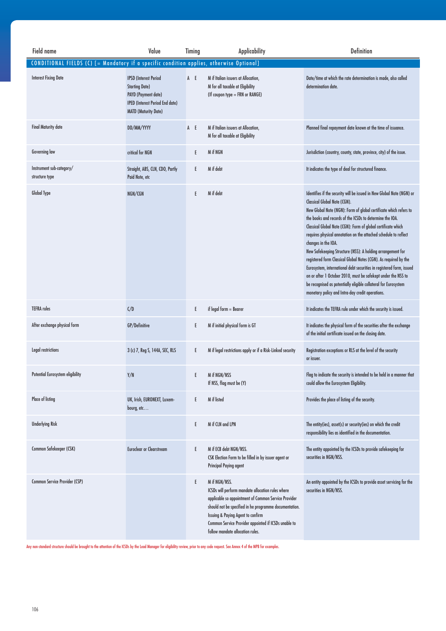| Field name                                                                               | Value                                                                                                                                                 | Timing | <b>Applicability</b>                                                                                                                                                                                                                                                                                                  | Definition                                                                                                                                                                                                                                                                                                                                                                                                                                                                                                                                                                                                                                                                                                                                                                                                  |
|------------------------------------------------------------------------------------------|-------------------------------------------------------------------------------------------------------------------------------------------------------|--------|-----------------------------------------------------------------------------------------------------------------------------------------------------------------------------------------------------------------------------------------------------------------------------------------------------------------------|-------------------------------------------------------------------------------------------------------------------------------------------------------------------------------------------------------------------------------------------------------------------------------------------------------------------------------------------------------------------------------------------------------------------------------------------------------------------------------------------------------------------------------------------------------------------------------------------------------------------------------------------------------------------------------------------------------------------------------------------------------------------------------------------------------------|
| CONDITIONAL FIELDS (C) [= Mandatory if a specific condition applies, otherwise Optional] |                                                                                                                                                       |        |                                                                                                                                                                                                                                                                                                                       |                                                                                                                                                                                                                                                                                                                                                                                                                                                                                                                                                                                                                                                                                                                                                                                                             |
| <b>Interest Fixing Date</b>                                                              | <b>IPSD</b> (Interest Period<br><b>Starting Date)</b><br>PAYD (Payment date)<br><b>IPED</b> (Interest Period End date)<br><b>MATD</b> (Maturity Date) | A E    | M if Italian issuers at Allocation,<br>M for all taxable at Eligibility<br>(If coupon type = FRN or RANGE)                                                                                                                                                                                                            | Date/time at which the rate determination is made, also called<br>determination date.                                                                                                                                                                                                                                                                                                                                                                                                                                                                                                                                                                                                                                                                                                                       |
| <b>Final Maturity date</b>                                                               | DD/MM/YYYY                                                                                                                                            | A E    | M if Italian issuers at Allocation,<br>M for all taxable at Eligibility                                                                                                                                                                                                                                               | Planned final repayment date known at the time of issuance.                                                                                                                                                                                                                                                                                                                                                                                                                                                                                                                                                                                                                                                                                                                                                 |
| Governing law                                                                            | critical for NGN                                                                                                                                      | E      | <b>M</b> if NGN                                                                                                                                                                                                                                                                                                       | Jurisdiction (country, county, state, province, city) of the issue.                                                                                                                                                                                                                                                                                                                                                                                                                                                                                                                                                                                                                                                                                                                                         |
| Instrument sub-category/<br>structure type                                               | Straight, ABS, CLN, CDO, Partly<br>Paid Note, etc                                                                                                     | E      | M if debt                                                                                                                                                                                                                                                                                                             | It indicates the type of deal for structured finance.                                                                                                                                                                                                                                                                                                                                                                                                                                                                                                                                                                                                                                                                                                                                                       |
| Global Type                                                                              | NGN/CGN                                                                                                                                               | E      | M if debt                                                                                                                                                                                                                                                                                                             | Identifies if the security will be issued in New Global Note (NGN) or<br><b>Classical Global Note (CGN).</b><br>New Global Note (NGN): Form of global certificate which refers to<br>the books and records of the ICSDs to determine the IOA.<br>Classical Global Note (CGN): Form of global certificate which<br>requires physical annotation on the attached schedule to reflect<br>changes in the IOA.<br>New Safekeeping Structure (NSS): A holding arrangement for<br>registered form Classical Global Notes (CGN). As required by the<br>Eurosystem, international debt securities in registered form, issued<br>on or after 1 October 2010, must be safekept under the NSS to<br>be recognised as potentially eligible collateral for Eurosystem<br>monetary policy and Intra-day credit operations. |
| <b>TEFRA</b> rules                                                                       | C/D                                                                                                                                                   | E      | if legal form = Bearer                                                                                                                                                                                                                                                                                                | It indicates the TEFRA rule under which the security is issued.                                                                                                                                                                                                                                                                                                                                                                                                                                                                                                                                                                                                                                                                                                                                             |
| After exchange physical form                                                             | GP/Definitive                                                                                                                                         | E      | M if initial physical form is GT                                                                                                                                                                                                                                                                                      | It indicates the physical form of the securities after the exchange<br>of the initial certificate issued on the closing date.                                                                                                                                                                                                                                                                                                                                                                                                                                                                                                                                                                                                                                                                               |
| Legal restrictions                                                                       | 3 (c) 7, Reg S, 144A, SEC, RLS                                                                                                                        | E      | M if legal restrictions apply or if a Risk-Linked security                                                                                                                                                                                                                                                            | Registration exceptions or RLS at the level of the security<br>or issuer.                                                                                                                                                                                                                                                                                                                                                                                                                                                                                                                                                                                                                                                                                                                                   |
| Potential Eurosystem eligibility                                                         | Y/N                                                                                                                                                   | E      | M if NGN/NSS<br>If NSS, flag must be (Y)                                                                                                                                                                                                                                                                              | Flag to indicate the security is intended to be held in a manner that<br>could allow the Eurosystem Eligibility.                                                                                                                                                                                                                                                                                                                                                                                                                                                                                                                                                                                                                                                                                            |
| Place of listing                                                                         | UK, Irish, EURONEXT, Luxem-<br>bourg, $etc.$                                                                                                          | E      | M if listed                                                                                                                                                                                                                                                                                                           | Provides the place of listing of the security.                                                                                                                                                                                                                                                                                                                                                                                                                                                                                                                                                                                                                                                                                                                                                              |
| <b>Underlying Risk</b>                                                                   |                                                                                                                                                       | E      | M if CLN and LPN                                                                                                                                                                                                                                                                                                      | The entity(ies), asset(s) or security(ies) on which the credit<br>responsibility lies as identified in the documentation.                                                                                                                                                                                                                                                                                                                                                                                                                                                                                                                                                                                                                                                                                   |
| Common Safekeeper (CSK)                                                                  | <b>Euroclear or Clearstream</b>                                                                                                                       | E      | M if ECB debt NGN/NSS.<br>CSK Election Form to be filled in by issuer agent or<br><b>Principal Paying agent</b>                                                                                                                                                                                                       | The entity appointed by the ICSDs to provide safekeeping for<br>securities in NGN/NSS.                                                                                                                                                                                                                                                                                                                                                                                                                                                                                                                                                                                                                                                                                                                      |
| Common Service Provider (CSP)                                                            |                                                                                                                                                       | E      | M if NGN/NSS.<br>ICSDs will perform mandate allocation rules where<br>applicable so appointment of Common Service Provider<br>should not be specified in he programme documentation.<br>Issuing & Paying Agent to confirm<br>Common Service Provider appointed if ICSDs unable to<br>follow mandate allocation rules. | An entity appointed by the ICSDs to provide asset servicing for the<br>securities in NGN/NSS.                                                                                                                                                                                                                                                                                                                                                                                                                                                                                                                                                                                                                                                                                                               |

Any non-standard structure should be brought to the attention of the ICSDs by the Lead Manager for eligibility review, prior to any code request. See Annex 4 of the MPB for examples.